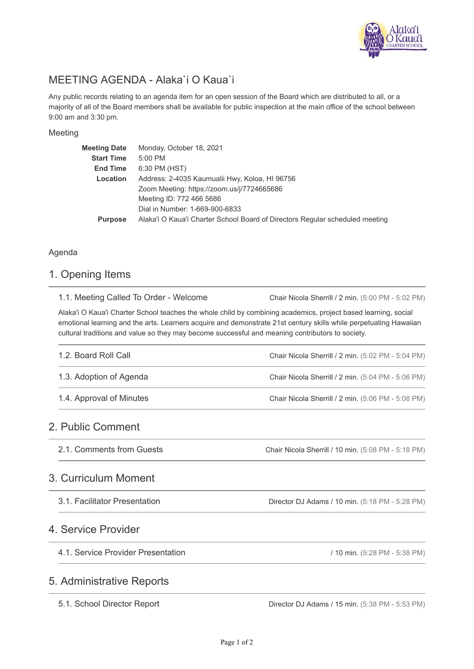

# MEETING AGENDA - Alaka`i O Kaua`i

Any public records relating to an agenda item for an open session of the Board which are distributed to all, or a majority of all of the Board members shall be available for public inspection at the main office of the school between 9:00 am and 3:30 pm.

#### Meeting

| <b>Meeting Date</b> | Monday, October 18, 2021                                                     |
|---------------------|------------------------------------------------------------------------------|
| <b>Start Time</b>   | 5:00 PM                                                                      |
| <b>End Time</b>     | 6:30 PM (HST)                                                                |
| Location            | Address: 2-4035 Kaumualii Hwy, Koloa, HI 96756                               |
|                     | Zoom Meeting: https://zoom.us/j/7724665686                                   |
|                     | Meeting ID: 772 466 5686                                                     |
|                     | Dial in Number: 1-669-900-6833                                               |
| <b>Purpose</b>      | Alaka'i O Kaua'i Charter School Board of Directors Regular scheduled meeting |
|                     |                                                                              |

#### Agenda

### 1. Opening Items

| 1.1. Meeting Called To Order - Welcome                                                                                                                                                                                                                                                                                                  | Chair Nicola Sherrill / 2 min. (5:00 PM - 5:02 PM) |
|-----------------------------------------------------------------------------------------------------------------------------------------------------------------------------------------------------------------------------------------------------------------------------------------------------------------------------------------|----------------------------------------------------|
| Alaka'i O Kaua'i Charter School teaches the whole child by combining academics, project based learning, social<br>emotional learning and the arts. Learners acquire and demonstrate 21st century skills while perpetuating Hawaiian<br>cultural traditions and value so they may become successful and meaning contributors to society. |                                                    |
| 1.2. Board Roll Call                                                                                                                                                                                                                                                                                                                    | Chair Nicola Sherrill / 2 min. (5:02 PM - 5:04 PM) |
| 1.3. Adoption of Agenda                                                                                                                                                                                                                                                                                                                 | Chair Nicola Sherrill / 2 min. (5:04 PM - 5:06 PM) |
| 1.4. Approval of Minutes                                                                                                                                                                                                                                                                                                                | Chair Nicola Sherrill / 2 min. (5:06 PM - 5:08 PM) |
| 2. Public Comment                                                                                                                                                                                                                                                                                                                       |                                                    |

Chair Nicola Sherrill / 10 min. (5:08 PM - 5:18 PM) 2.1. Comments from Guests

### 3. Curriculum Moment

3.1. Facilitator Presentation

# 4. Service Provider

4.1. Service Provider Presentation

/ 10 min. (5:28 PM - 5:38 PM)

# 5. Administrative Reports

5.1. School Director Report

Director DJ Adams / 15 min. (5:38 PM - 5:53 PM)

Director DJ Adams / 10 min. (5:18 PM - 5:28 PM)